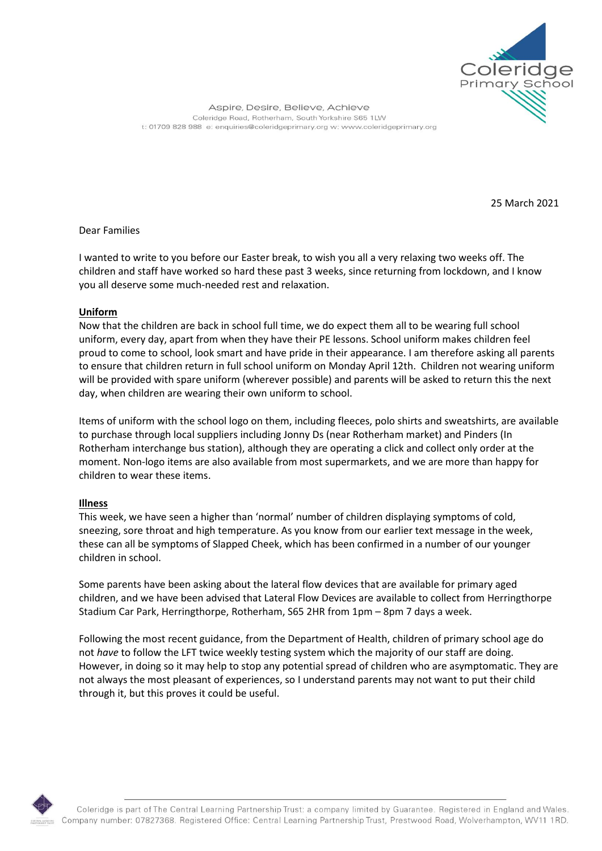

Aspire, Desire, Believe, Achieve Coleridge Road, Rotherham, South Yorkshire S65 1LW t: 01709 828 988 e: enquiries@coleridgeprimary.org w: www.coleridgeprimary.org

25 March 2021

Dear Families

I wanted to write to you before our Easter break, to wish you all a very relaxing two weeks off. The children and staff have worked so hard these past 3 weeks, since returning from lockdown, and I know you all deserve some much-needed rest and relaxation.

## **Uniform**

Now that the children are back in school full time, we do expect them all to be wearing full school uniform, every day, apart from when they have their PE lessons. School uniform makes children feel proud to come to school, look smart and have pride in their appearance. I am therefore asking all parents to ensure that children return in full school uniform on Monday April 12th. Children not wearing uniform will be provided with spare uniform (wherever possible) and parents will be asked to return this the next day, when children are wearing their own uniform to school.

Items of uniform with the school logo on them, including fleeces, polo shirts and sweatshirts, are available to purchase through local suppliers including Jonny Ds (near Rotherham market) and Pinders (In Rotherham interchange bus station), although they are operating a click and collect only order at the moment. Non-logo items are also available from most supermarkets, and we are more than happy for children to wear these items.

## **Illness**

This week, we have seen a higher than 'normal' number of children displaying symptoms of cold, sneezing, sore throat and high temperature. As you know from our earlier text message in the week, these can all be symptoms of Slapped Cheek, which has been confirmed in a number of our younger children in school.

Some parents have been asking about the lateral flow devices that are available for primary aged children, and we have been advised that Lateral Flow Devices are available to collect from Herringthorpe Stadium Car Park, Herringthorpe, Rotherham, S65 2HR from 1pm – 8pm 7 days a week.

Following the most recent guidance, from the Department of Health, children of primary school age do not *have* to follow the LFT twice weekly testing system which the majority of our staff are doing. However, in doing so it may help to stop any potential spread of children who are asymptomatic. They are not always the most pleasant of experiences, so I understand parents may not want to put their child through it, but this proves it could be useful.



Coleridge is part of The Central Learning Partnership Trust: a company limited by Guarantee. Registered in England and Wales. Company number: 07827368. Registered Office: Central Learning Partnership Trust, Prestwood Road, Wolverhampton, WV11 1RD.